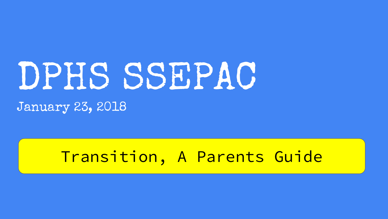# DPHS SSEPAC

January 23, 2018

#### Transition, A Parents Guide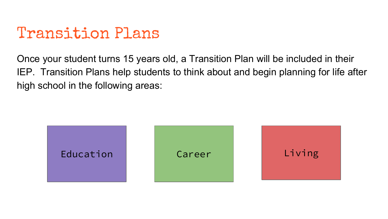#### Transition Plans

Once your student turns 15 years old, a Transition Plan will be included in their IEP. Transition Plans help students to think about and begin planning for life after high school in the following areas:

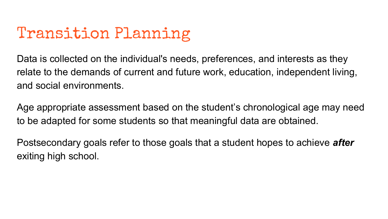# Transition Planning

Data is collected on the individual's needs, preferences, and interests as they relate to the demands of current and future work, education, independent living, and social environments.

Age appropriate assessment based on the student's chronological age may need to be adapted for some students so that meaningful data are obtained.

Postsecondary goals refer to those goals that a student hopes to achieve *after*  exiting high school.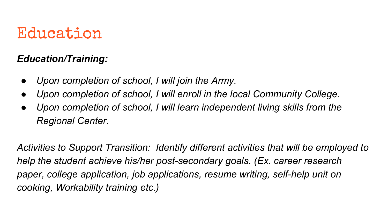## Education

#### *Education/Training:*

- *Upon completion of school, I will join the Army.*
- Upon completion of school, I will enroll in the local Community College.
- *Upon completion of school, I will learn independent living skills from the Regional Center.*

*Activities to Support Transition: Identify different activities that will be employed to help the student achieve his/her post-secondary goals. (Ex. career research paper, college application, job applications, resume writing, self-help unit on cooking, Workability training etc.)*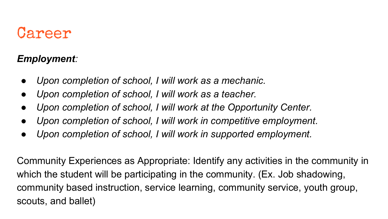#### Career

#### *Employment:*

- *Upon completion of school, I will work as a mechanic.*
- *Upon completion of school, I will work as a teacher.*
- *Upon completion of school, I will work at the Opportunity Center.*
- *Upon completion of school, I will work in competitive employment.*
- *Upon completion of school, I will work in supported employment.*

Community Experiences as Appropriate: Identify any activities in the community in which the student will be participating in the community. (Ex. Job shadowing, community based instruction, service learning, community service, youth group, scouts, and ballet)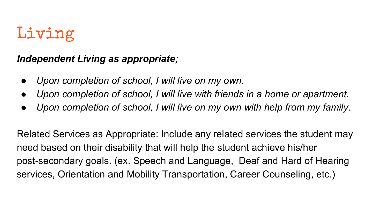# Living

#### *Independent Living as appropriate;*

- *Upon completion of school, I will live on my own.*
- Upon completion of school, I will live with friends in a home or apartment.
- *Upon completion of school, I will live on my own with help from my family.*

Related Services as Appropriate: Include any related services the student may need based on their disability that will help the student achieve his/her post-secondary goals. (ex. Speech and Language, Deaf and Hard of Hearing services, Orientation and Mobility Transportation, Career Counseling, etc.)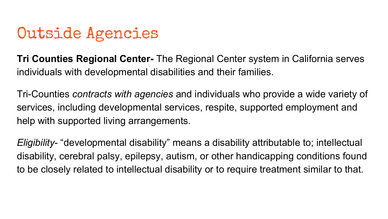## Outside Agencies

**Tri Counties Regional Center-** The Regional Center system in California serves individuals with developmental disabilities and their families.

Tri-Counties *contracts with agencies* and individuals who provide a wide variety of services, including developmental services, respite, supported employment and help with supported living arrangements.

*Eligibility*- "developmental disability" means a disability attributable to; intellectual disability, cerebral palsy, epilepsy, autism, or other handicapping conditions found to be closely related to intellectual disability or to require treatment similar to that.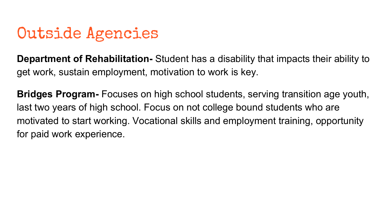# Outside Agencies

**Department of Rehabilitation-** Student has a disability that impacts their ability to get work, sustain employment, motivation to work is key.

**Bridges Program-** Focuses on high school students, serving transition age youth, last two years of high school. Focus on not college bound students who are motivated to start working. Vocational skills and employment training, opportunity for paid work experience.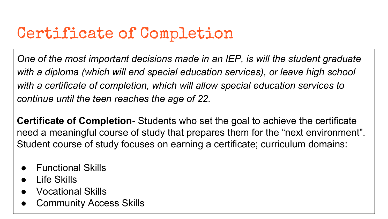# Certificate of Completion

*One of the most important decisions made in an IEP, is will the student graduate*  with a diploma (which will end special education services), or leave high school *with a certificate of completion, which will allow special education services to continue until the teen reaches the age of 22.*

**Certificate of Completion-** Students who set the goal to achieve the certificate need a meaningful course of study that prepares them for the "next environment". Student course of study focuses on earning a certificate; curriculum domains:

- **Functional Skills**
- Life Skills
- **Vocational Skills**
- **Community Access Skills**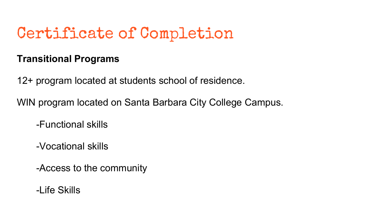# Certificate of Completion

#### **Transitional Programs**

12+ program located at students school of residence.

WIN program located on Santa Barbara City College Campus.

-Functional skills

-Vocational skills

-Access to the community

-Life Skills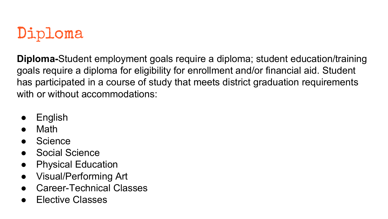# Diploma

**Diploma-**Student employment goals require a diploma; student education/training goals require a diploma for eligibility for enrollment and/or financial aid. Student has participated in a course of study that meets district graduation requirements with or without accommodations:

- **English**
- **Math**
- **Science**
- **Social Science**
- Physical Education
- Visual/Performing Art
- Career-Technical Classes
- **Elective Classes**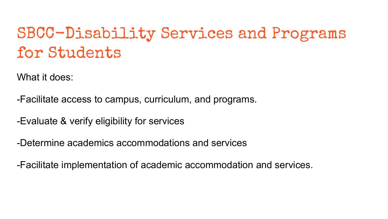# SBCC-Disability Services and Programs for Students

What it does:

-Facilitate access to campus, curriculum, and programs.

-Evaluate & verify eligibility for services

-Determine academics accommodations and services

-Facilitate implementation of academic accommodation and services.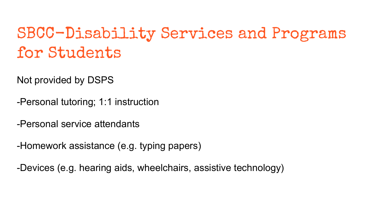# SBCC-Disability Services and Programs for Students

Not provided by DSPS

-Personal tutoring; 1:1 instruction

-Personal service attendants

-Homework assistance (e.g. typing papers)

-Devices (e.g. hearing aids, wheelchairs, assistive technology)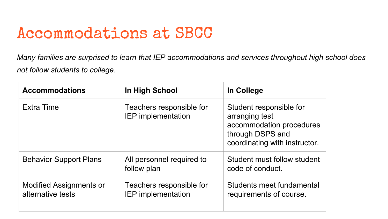## Accommodations at SBCC

*Many families are surprised to learn that IEP accommodations and services throughout high school does not follow students to college.* 

| <b>Accommodations</b>                               | In High School                                        | In College                                                                                                                 |
|-----------------------------------------------------|-------------------------------------------------------|----------------------------------------------------------------------------------------------------------------------------|
| <b>Extra Time</b>                                   | Teachers responsible for<br><b>IEP</b> implementation | Student responsible for<br>arranging test<br>accommodation procedures<br>through DSPS and<br>coordinating with instructor. |
| <b>Behavior Support Plans</b>                       | All personnel required to<br>follow plan              | Student must follow student<br>code of conduct.                                                                            |
| <b>Modified Assignments or</b><br>alternative tests | Teachers responsible for<br><b>IEP</b> implementation | Students meet fundamental<br>requirements of course.                                                                       |